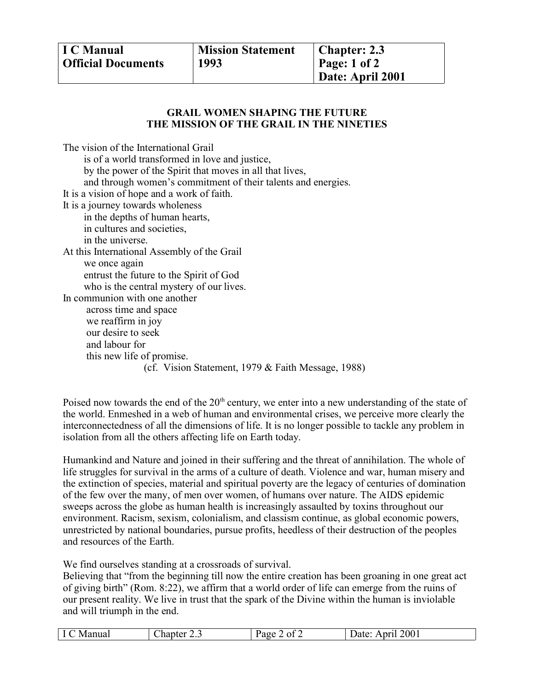## **GRAIL WOMEN SHAPING THE FUTURE THE MISSION OF THE GRAIL IN THE NINETIES**

The vision of the International Grail is of a world transformed in love and justice, by the power of the Spirit that moves in all that lives, and through women's commitment of their talents and energies. It is a vision of hope and a work of faith. It is a journey towards wholeness in the depths of human hearts, in cultures and societies, in the universe. At this International Assembly of the Grail we once again entrust the future to the Spirit of God who is the central mystery of our lives. In communion with one another across time and space we reaffirm in joy our desire to seek and labour for this new life of promise. (cf. Vision Statement, 1979 & Faith Message, 1988)

Poised now towards the end of the 20<sup>th</sup> century, we enter into a new understanding of the state of the world. Enmeshed in a web of human and environmental crises, we perceive more clearly the interconnectedness of all the dimensions of life. It is no longer possible to tackle any problem in isolation from all the others affecting life on Earth today.

Humankind and Nature and joined in their suffering and the threat of annihilation. The whole of life struggles for survival in the arms of a culture of death. Violence and war, human misery and the extinction of species, material and spiritual poverty are the legacy of centuries of domination of the few over the many, of men over women, of humans over nature. The AIDS epidemic sweeps across the globe as human health is increasingly assaulted by toxins throughout our environment. Racism, sexism, colonialism, and classism continue, as global economic powers, unrestricted by national boundaries, pursue profits, heedless of their destruction of the peoples and resources of the Earth.

We find ourselves standing at a crossroads of survival.

Believing that "from the beginning till now the entire creation has been groaning in one great act of giving birth" (Rom. 8:22), we affirm that a world order of life can emerge from the ruins of our present reality. We live in trust that the spark of the Divine within the human is inviolable and will triumph in the end.

| Manual<br>$'$ hontor<br>$v_{\alpha}$<br>الممحم<br>Date:<br>.nanter<br>$\lambda$ |  |  |  | of 2 | 2001 |
|---------------------------------------------------------------------------------|--|--|--|------|------|
|---------------------------------------------------------------------------------|--|--|--|------|------|